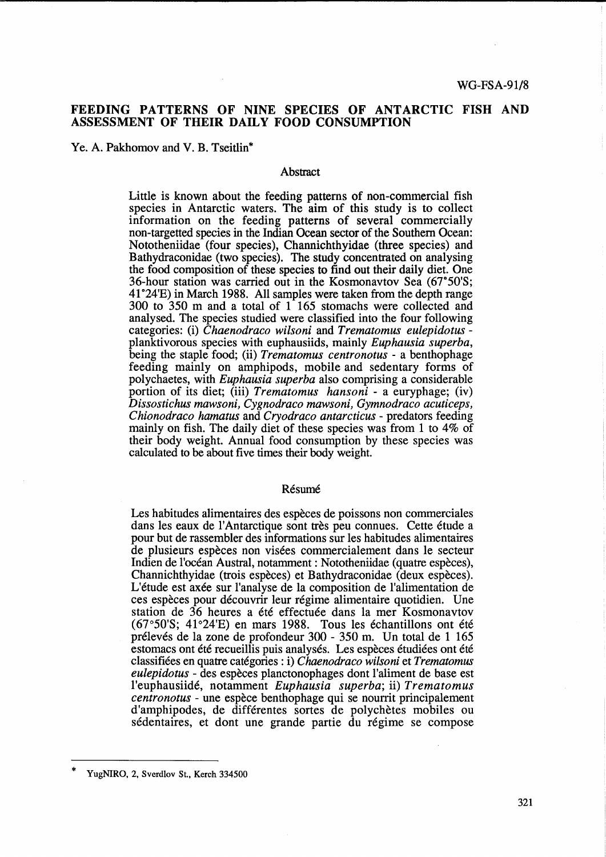# FEEDING PATTERNS OF NINE SPECIES OF ANTARCTIC FISH AND ASSESSMENT OF THEIR DAILY FOOD CONSUMPTION

Ye. A. Pakhomov and V. B. Tseitlin\*

## **Abstract**

Little is known about the feeding patterns of non-commercial fish species in Antarctic waters. The aim of this study is to collect information on the feeding patterns of several commercially non-targetted species in the Indian Ocean sector of the Southern Ocean: Nototheniidae (four species), Channichthyidae (three species) and Bathydraconidae (two species). The study concentrated on analysing the food composition of these species to find out their daily diet. One 36-hour station was carried out in the Kosmonavtov Sea (67"50'S; 41°24'E) in March 1988. All samples were taken from the depth range 300 to 350 m and a total of 1 165 stomachs were collected and analysed. The species studied were classified into the four following categories: (i) *Chaenodraco wilsoni* and *Trematomus eulepidotus*  planktivorous species with euphausiids, mainly *Euphausia superba,*  being the staple food; (ii) *Trematomus centronotus* - a benthophage feeding mainly on amphipods, mobile and sedentary forms of polychaetes, with *Euphausia superba* also comprising a considerable portion of its diet; (iii) *Trematomus hansoni* - a euryphage; (iv) *Dissostichus mawsoni, Cygnodraco mawsoni, Gymnodraco acuticeps, Chionodraco hamatus* and *Cryodraco antarcticus* - predators feeding mainly on fish. The daily diet of these species was from 1 to 4% of their body weight. Annual food consumption by these species was calculated to be about five times their body weight.

### Résumé

Les habitudes alimentaires des espèces de poissons non commerciales dans les eaux de l'Antarctique sont très peu connues. Cette étude a pour but de rassembler des informations sur les habitudes alimentaires de plusieurs especes non visees commercialement dans le secteur Indien de l'ocean Austral, notamment: Nototheniidae (quatre especes), Channichthyidae (trois especes) et Bathydraconidae (deux especes). L'étude est axée sur l'analyse de la composition de l'alimentation de ces especes pour decouvrir leur regime alimentaire quotidien. Dne station de 36 heures a été effectuée dans la mer Kosmonavtov  $(67°50'S; 41°24'E)$  en mars 1988. Tous les échantillons ont été prélevés de la zone de profondeur 300 - 350 m. Un total de 1 165 estomacs ont été recueillis puis analysés. Les espèces étudiées ont été classifiees en quatre categories: i) *Chaenodraco wilsoni* et *Trematomus eulepidotus* - des especes planctonophages dont l'aliment de base est l'euphausiide, notamment *Euphausia superba;* ii) *Trematomus centronotus* - une espece benthophage qui se nourrit principalement d'amphipodes, de differentes sortes de polychetes mobiles ou sédentaires, et dont une grande partie du régime se compose

<sup>\*</sup>  YugNIRO, 2, Sverdlov St., Kerch 334500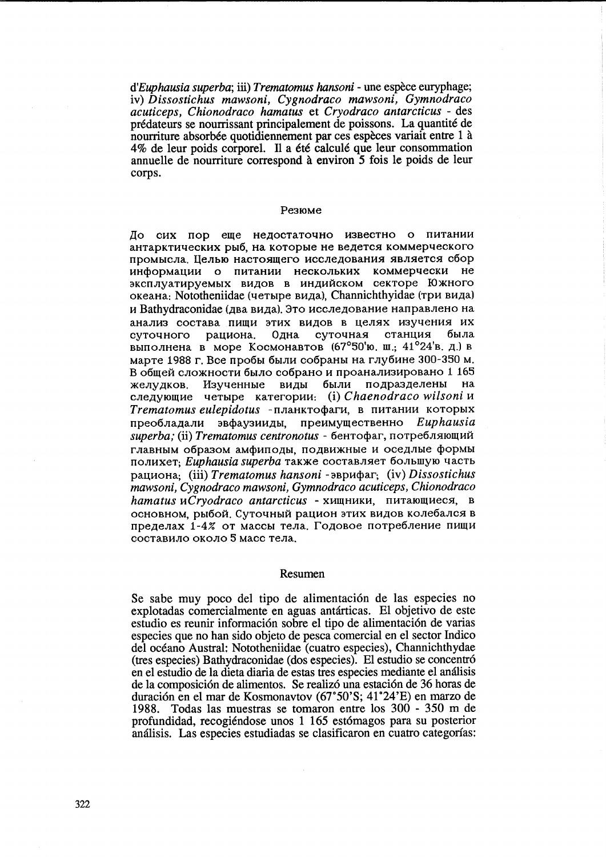*d'Euphausia superba;* iii) *Trematomus hansoni* - une espece euryphage; iv) *Dissostichus mawsoni, Cygnodraco mawsoni, Gymnodraco acuticeps, Chionodraco hamatus* et *Cryodraco antarcticus* - des predateurs se nourrissant principalement de poissons. La quantite de nourriture absorbée quotidiennement par ces espèces variait entre 1 à 4% de leur poids corporel. Il a été calculé que leur consommation annuelle de nourriture correspond à environ 5 fois le poids de leur corps.

### Pe310Me

До сих пор еще недостаточно известно о питании антарктических рыб, на которые не ведется коммерческого промысла. Целью настоящего исследования является сбор информации о питании нескольких коммерчески не эксплуатируемых видов в индийском секторе Южного океана: Nototheniidae (четыре вида), Channichthyidae (три вида) и Bathydraconidae (два вида). Это исследование направлено на анализ состава пищи этих видов в целях изучения их суточного рациона. Одна суточная станция была выполнена в море Космонавтов (67°50'ю. ш.; 41°24'в. д.) в марте 1988 г. Все пробы были собраны на глубине 300-350 м. В общей сложности было собрано и проанализировано 1 165 желудков. Изученные виды были подразделены на следующие четыре категории: (i) Chaenodraco wilsoni и Trematomus eulepidotus - планктофаги, в питании которых npeo6J1a~aJlH 3B~ay3HH~bl, npeHMYIQeCTBeHHO *Euphausia*  superba; (ii) *Trematomus centronotus* - бентофаг, потребляющий главным образом амфиподы, подвижные и оседлые формы полихет; *Euphausia superba* также составляет большую часть pa~HOHa; (iii) *Trematomus hansoni* - 3BpH~ar; (iv) *Dissostichus mawsoni, Cygnodraco mawsoni, Gymnodraco acuticeps, Chionodraco hamatus HCryodraco antarcticus - Хищники*, питающиеся, в основном, рыбой. Суточный рацион этих видов колебался в пределах 1-4% от массы тела. Годовое потребление пищи составило около 5 масс тела.

#### Resumen

Se sabe muy poco del tipo de alimentación de las especies no explotadas comercialmente en aguas antarticas. El objetivo de este estudio es reunir información sobre el tipo de alimentación de varias especies que no han sido objeto de pesca comercial en el sector Indico del oceano Austral: Nototheniidae (cuatro especies), Channichthydae (tres especies) Bathydraconidae (dos especies). El estudio se concentr6 en el estudio de la dieta diaria de estas tres especies mediante el amilisis de la composición de alimentos. Se realizó una estación de 36 horas de duración en el mar de Kosmonavtov (67°50'S; 41°24'E) en marzo de 1988. Todas las muestras se tomaron entre los 300 - 350 m de profundidad, recogiendose unos 1 165 est6magos para su posterior an31isis. Las especies estudiadas se clasificaron en cuatro categorias: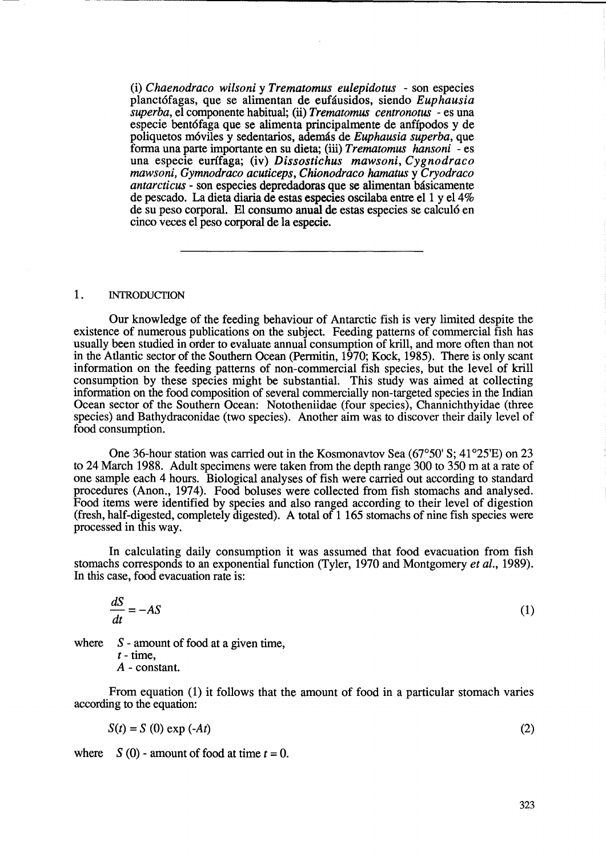(i) *Chaenodraco wilsoni* y *Trematomus eulepidotus* - son especies planct6fagas, que se alimentan de eufausidos, siendo *Euphausia superba,* el componente habitual; (ii) *Trematomus centronotus* - es una especie bentófaga que se alimenta principalmente de anfípodos y de poliquetos m6viles y sedentarios, ademas de *Euphausia superba,* que forma una parte importante en su dieta; (ill) *Trematomus hansoni* - es una especie eurffaga; (iv) *Dissostichus mawsoni, Cygnodraco mawsoni, Gymnodraco acuticeps, Chionodraco hamatus* y *Cryodraco antarcticus* - son especies depredadoras que se alimentan básicamente de pescado. La dieta diaria de estas especies oscilaba entre el 1 y el 4% de su peso corporal. El consumo anual de estas especies se calcul6 en cinco veces el peso corporal de la especie.

### 1. INTRODUCTION

Our knowledge of the feeding behaviour of Antarctic fish is very limited despite the existence of numerous publications on the subject. Feeding patterns of commercial fish has usually been studied in order to evaluate annual consumption of krill, and more often than not in the Atlantic sector of the Southern Ocean (Permitin, 1970; Kock, 1985). There is only scant information on the feeding patterns of non-commercial fish species, but the level of krill consumption by these species might be substantial. This study was aimed at collecting information on the food composition of several commercially non-targeted species in the Indian Ocean sector of the Southern Ocean: Nototheniidae (four species), Channichthyidae (three species) and Bathydraconidae (two species). Another aim was to discover their daily level of food consumption.

One 36-hour station was carried out in the Kosmonavtov Sea (67°50' S; 41°25'E) on 23 to 24 March 1988. Adult specimens were taken from the depth range 300 to 350 m at a rate of one sample each 4 hours. Biological analyses of fish were carried out according to standard procedures (Anon., 1974). Food boluses were collected from fish stomachs and analysed. Food items were identified by species and also ranged according to their level of digestion (fresh, half-digested, completely digested). A total of 1 165 stomachs of nine fish species were processed in this way.

In calculating daily consumption it was assumed that food evacuation from fish stomachs corresponds to an exponential function (Tyler, 1970 and Montgomery *et al., 1989).*  In this case, food evacuation rate is:

$$
\frac{dS}{dt} = -AS\tag{1}
$$

where  $S$  - amount of food at a given time,

 $t - time$ . A - constant.

From equation (1) it follows that the amount of food in a particular stomach varies according to the equation:

$$
S(t) = S(0) \exp(-At) \tag{2}
$$

where  $S(0)$  - amount of food at time  $t = 0$ .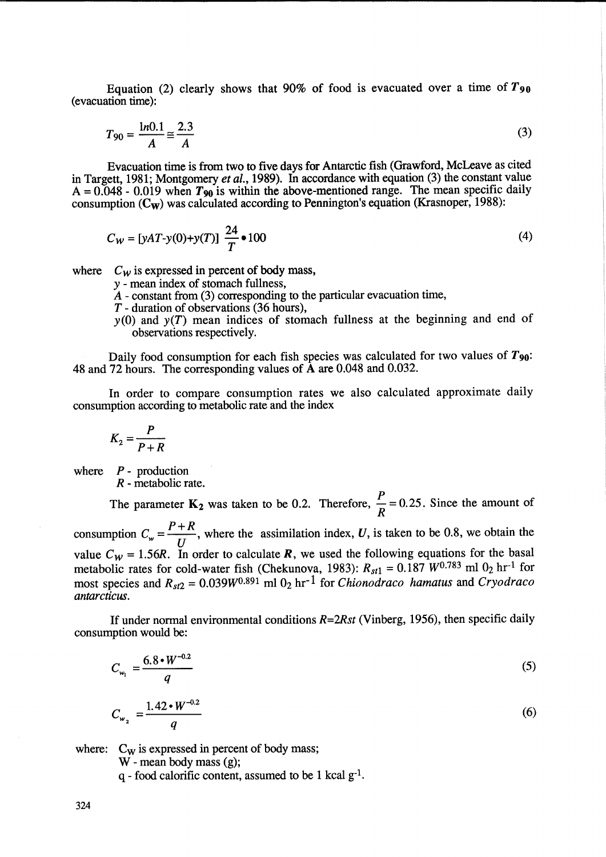Equation (2) clearly shows that 90% of food is evacuated over a time of  $T_{90}$ (evacuation time):

$$
T_{90} = \frac{1n0.1}{A} \approx \frac{2.3}{A}
$$
 (3)

Evacuation time is from two to five days for Antarctic fish (Grawford, McLeave as cited in Targett, 1981; Montgomery *et al.,* 1989). In accordance with equation (3) the constant value  $A = 0.048 - 0.019$  when  $T_{90}$  is within the above-mentioned range. The mean specific daily consumption  $(C_w)$  was calculated according to Pennington's equation (Krasnoper, 1988):

$$
C_W = [yAT-y(0)+y(T)] \frac{24}{T} \bullet 100
$$
 (4)

where  $C_W$  is expressed in percent of body mass,

*y* - mean index of stomach fullness,

 $\overline{A}$  - constant from (3) corresponding to the particular evacuation time,

*T* - duration of observations (36 hours),

 $y(0)$  and  $y(T)$  mean indices of stomach fullness at the beginning and end of observations respectively.

Daily food consumption for each fish species was calculated for two values of *T90:*  48 and 72 hours. The corresponding values of A are 0.048 and 0.032.

In order to compare consumption rates we also calculated approximate daily consumption according to metabolic rate and the index

$$
K_2 = \frac{P}{P+R}
$$

where  $P$ - production

*antarcticus .* 

*R* - metabolic rate.

The parameter  $K_2$  was taken to be 0.2. Therefore,  $\frac{1}{R} = 0.25$ . Since the amount of *R*  consumption  $C_w = \frac{P + R}{U}$ , where the assimilation index, *U*, is taken to be 0.8, we obtain the value  $C_w = 1.56R$ . In order to calculate R, we used the following equations for the basal metabolic rates for cold-water fish (Chekunova, 1983):  $R_{st1} = 0.187$  *W*<sup>0.783</sup> ml 0<sub>2</sub> hr<sup>-1</sup> for most species and  $R_{st2} = 0.039W^{0.891}$  ml 0<sub>2</sub> hr<sup>-1</sup> for *Chionodraco hamatus* and *Cryodraco* 

If under normal environmental conditions *R=2Rst* (Vinberg, 1956), then specific daily consumption would be:

$$
C_{w_1} = \frac{6.8 \cdot W^{-0.2}}{q}
$$
 (5)

$$
C_{w_2} = \frac{1.42 \cdot W^{-0.2}}{q} \tag{6}
$$

where:  $C_W$  is expressed in percent of body mass;

W - mean body mass (g);

 $q$  - food calorific content, assumed to be 1 kcal  $g^{-1}$ .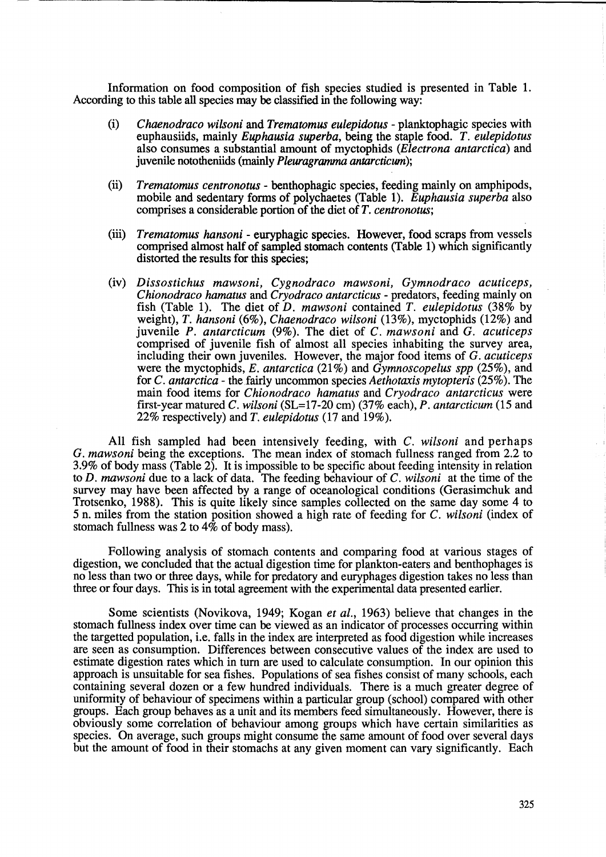Information on food composition of fish species studied is presented in Table 1. According to this table all species may be classified in the following way:

-- -----------------------------------------------------------------------------------

- (i) *Chaenodraco wilsoni* and *Trematomus eulepidotus*  planktophagic species with euphausiids, mainly *Euphausia superba,* being the staple food. *T. eulepidotus*  also consumes a substantial amount of myctophids *(Electrona antarctica)* and juvenile nototheniids (mainly *Pleuragramma antarcticum);*
- (ii) *Trematomus centronotus*  benthophagic species, feeding mainly on amphipods, mobile and sedentary forms of polychaetes (Table 1). *Euphausia superba* also comprises a considerable portion of the diet of *T. centronotus;*
- (iii) *Trematomus hansoni* euryphagic species. However, food scraps from vessels comprised almost half of sampled stomach contents (Table 1) which significantly distorted the results for this species;
- (iv) *Dissostichus mawsoni, Cygnodraco mawsoni, Gymnodraco acuticeps, Chionodraco hamatus* and *Cryodraco antarcticus* - predators, feeding mainly on fish (Table 1). The diet of *D. mawsoni* contained *T. eulepidotus* (38% by weight), *T. hansoni* (6%), *Chaenodraco wilsoni* (13%), myctophids (12%) and juvenile *P. antarcticum* (9%). The diet of C. *mawsoni* and G. *acuticeps*  comprised of juvenile fish of almost all species inhabiting the survey area, including their own juveniles. However, the major food items of G. *acuticeps*  were the myctophids, *E. antarctica* (21 %) and *Gymnoscopelus spp* (25%), and for C. *antarctica* - the fairly uncommon species *Aethotaxis mytopteris* (25%). The main food items for *Chionodraco hamatus* and *Cryodraco antarcticus* were first-year matured C. *wilsoni* (SL=17-20 cm) (37% each), *P. antarcticum* (15 and 22% respectively) and *T. eulepidotus* (17 and 19%).

All fish sampled had been intensively feeding, with C. *wilsoni* and perhaps G. *mawsoni* being the exceptions. The mean index of stomach fullness ranged from 2.2 to 3.9% of body mass (Table 2). It is impossible to be specific about feeding intensity in relation to *D. mawsoni* due to a lack of data. The feeding behaviour of C. *wilsoni* at the time of the survey may have been affected by a range of oceanological conditions (Gerasimchuk and Trotsenko, 1988). This is quite likely since samples collected on the same day some 4 to 5 n. miles from the station position showed a high rate of feeding for C. *wilsoni* (index of stomach fullness was 2 to  $4\bar{\%}$  of body mass).

Following analysis of stomach contents and comparing food at various stages of digestion, we concluded that the actual digestion time for plankton-eaters and benthophages is no less than two or three days, while for predatory and euryphages digestion takes no less than three or four days. This is in total agreement with the experimental data presented earlier.

Some scientists (Novikova, 1949; Kogan *et al.,* 1963) believe that changes in the stomach fullness index over time can be viewed as an indicator of processes occurring within the targetted population, i.e. falls in the index are interpreted as food digestion while increases are seen as consumption. Differences between consecutive values of the index are used to estimate digestion rates which in turn are used to calculate consumption. In our opinion this approach is unsuitable for sea fishes. Populations of sea fishes consist of many schools, each containing several dozen or a few hundred individuals. There is a much greater degree of uniformity of behaviour of specimens within a particular group (school) compared with other groups. Each group behaves as a unit and its members feed simultaneously. However, there is obviously some correlation of behaviour among groups which have certain similarities as species. On average, such groups might consume the same amount of food over several days but the amount of food in their stomachs at any given moment can vary significantly. Each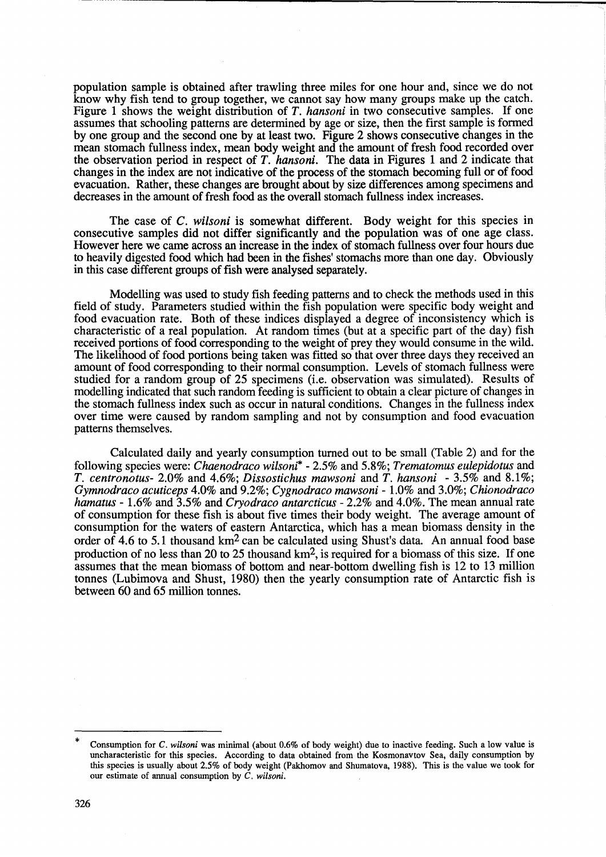population sample is obtained after trawling three miles for one hour and, since we do not know why fish tend to group together, we cannot say how many groups make up the catch. Figure 1 shows the weight distribution of *T. hansoni* in two consecutive samples. If one assumes that schooling patterns are determined by age or size, then the first sample is formed by one group and the second one by at least two. Figure 2 shows consecutive changes in the mean stomach fullness index, mean body weight and the amount of fresh food recorded over the observation period in respect of *T. hansoni.* The data in Figures 1 and 2 indicate that changes in the index are not indicative of the process of the stomach becoming full or of food evacuation. Rather, these changes are brought about by size differences among specimens and decreases in the amount of fresh food as the overall stomach fullness index increases.

The case of C. *wilsoni* is somewhat different. Body weight for this species in consecutive samples did not differ significantly and the population was of one age class. However here we came across an increase in the index of stomach fullness over four hours due to heavily digested food which had been in the fishes' stomachs more than one day. Obviously in this case different groups of fish were analysed separately.

Modelling was used to study fish feeding patterns and to check the methods used in this field of study. Parameters studied within the fish population were specific body weight and food evacuation rate. Both of these indices displayed a degree of inconsistency which is characteristic of a real population. At random times (but at a specific part of the day) fish received portions of food corresponding to the weight of prey they would consume in the wild. The likelihood of food portions being taken was fitted so that over three days they received an amount of food corresponding to their normal consumption. Levels of stomach fullness were studied for a random group of 25 specimens (*i.e.* observation was simulated). Results of modelling indicated that such random feeding is sufficient to obtain a clear picture of changes in the stomach fullness index such as occur in natural conditions. Changes in the fullness index over time were caused by random sampling and not by consumption and food evacuation patterns themselves.

Calculated daily and yearly consumption turned out to be small (Table 2) and for the following species were: *Chaenodraco wilsoni\** - 2.5% and 5.8%; *Trematomus eulepidotus* and *T. centronotus-* 2.0% and 4.6%; *Dissostichus mawsoni* and *T. hansoni* - 3.5% and 8.1 %; *Gymnodraco acuticeps* 4.0% and 9.2%; *Cygnodraco mawsoni* - 1.0% and 3.0%; *Chionodraco hamatus* - 1.6% and 3.5% and *Cryodraco antarcticus* - 2.2% and 4.0%. The mean annual rate of consumption for these fish is about five times their body weight. The average amount of consumption for the waters of eastern Antarctica, which has a mean biomass density in the order of 4.6 to 5.1 thousand  $km^2$  can be calculated using Shust's data. An annual food base production of no less than 20 to 25 thousand km2, is required for a biomass of this size. If one assumes that the mean biomass of bottom and near-bottom dwelling fish is 12 to 13 million tonnes (Lubimova and Shust, 1980) then the yearly consumption rate of Antarctic fish is between 60 and 65 million tonnes.

<sup>\*</sup> Consumption for C. *wilsoni* was minimal (about 0.6% of body weight) due to inactive feeding. Such a low value is uncharacteristic for this species. According to data obtained from the Kosmonavtov Sea, daily consumption by this species is usually about 2.5% of body weight (Pakhomov and Shumatova, 1988). This is the value we took for our estimate of annual consumption by C. *wilsoni.*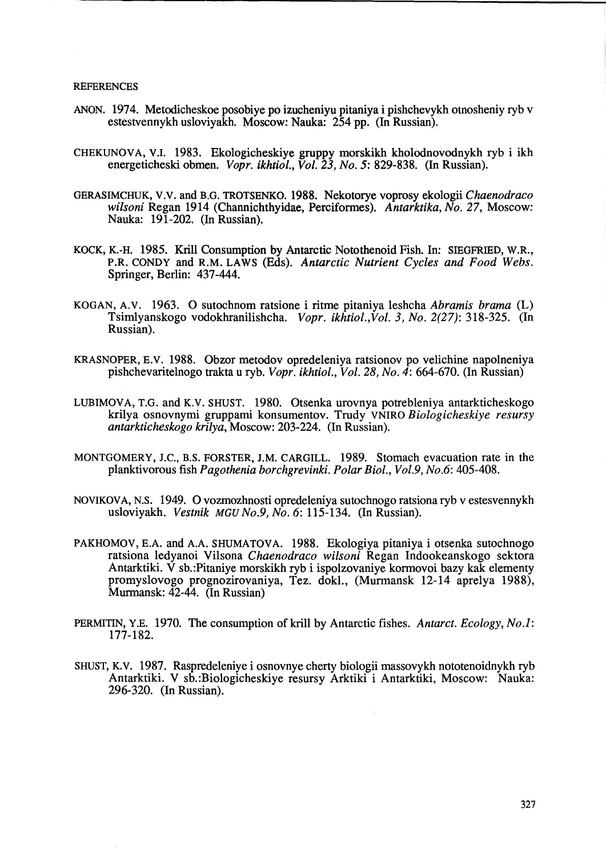### **REFERENCES**

- ANON. 1974. Metodicheskoe posobiye po izucheniyu pitaniya i pishchevykh otnosheniy ryb v estestvennykh usloviyakh. Moscow: Nauka: 254 pp. (In Russian).
- CHEKUNOVA, V.I. 1983. Ekologicheskiye gruppy morskikh kholodnovodnykh ryb i ikh energeticheski obmen. *Vopr. ikhtiol., Vol.* 23, *No.* 5: 829-838. (In Russian).
- OERASIMCHUK, V.V. and B.O. TROTSENKO. 1988. Nekotorye voprosy ekologii *Chaenodraco wilsoni* Regan 1914 (Channichthyidae, Perciformes). *Antarktika, No.* 27, Moscow: Nauka: 191-202. (In Russian).
- KOCK, K.-H. 1985. Krill Consumption by Antarctic Notothenoid Fish. In: SIEOFRIED, W.R., P.R. CONDY and R.M. LAWS (Eds). *Antarctic Nutrient Cycles and Food Webs.*  Springer, Berlin: 437-444.
- KOOAN, A.V. 1963. 0 sutochnom ratsione i ritme pitaniya leshcha *Abramis brama* (L) Tsimlyanskogo vodokhranilishcha. *Vopr. ikhtiol.,Vol.* 3, *No.* 2(27): 318-325. (In Russian).
- KRASNOPER, E.V. 1988. Obzor metodov opredeleniya ratsionov po velichine napolneniya pishchevaritelnogo trakta u ryb. *Vopr. ikhtiol., Vol.* 28, *No.* 4: 664-670. (In Russian)
- LUBIMOVA, T.O. and K.V. SHUST. 1980. Otsenka urovnya potrebleniya antarkticheskogo krilya osnovnymi gruppami konsumentov. Trudy VNIRO *Biologicheskiye resursy antarkticheskogo krilya,* Moscow: 203-224. (In Russian).
- MONTOOMERY, J.C., B.S. FORSTER, J.M. CARGILL. 1989. Stomach evacuation rate in the planktivorous fish *Pagothenia borchgrevinki. Polar Bioi., Vol.9, No.6: 405-408.*
- NOVIKOVA, N.S. 1949. 0 vozmozhnosti opredeleniya sutochnogo ratsiona ryb v estesvennykh usloviyakh. *Vestnik MGU No.9, No.* 6: 115-134. (In Russian).
- PAKHOMOV, E.A. and A.A. SHUMATOVA. 1988. Ekologiya pitaniya i otsenka sutochnogo ratsiona ledyanoi Vilsona *Chaenodraco wilsoni* Regan Indookeanskogo sektora Antarktiki. V sb.:Pitaniye morskikh ryb i ispolzovaniye kormovoi bazy kak elementy promyslovogo prognozirovaniya, Tez. dokl., (Murmansk 12-14 aprelya 1988), Murmansk: 42-44. (In Russian)
- PERMITIN, Y.E. 1970. The consumption of krill by Antarctic fishes. *Antarct. Ecology, No.1:*  177-182.
- SHUST, K.V. 1987. Raspredeleniye i osnovnye cherty biologii massovykh nototenoidnykh ryb Antarktiki. V sb.:Biologicheskiye resursy Arktiki i Antarktiki, Moscow: Nauka: 296-320. (In Russian).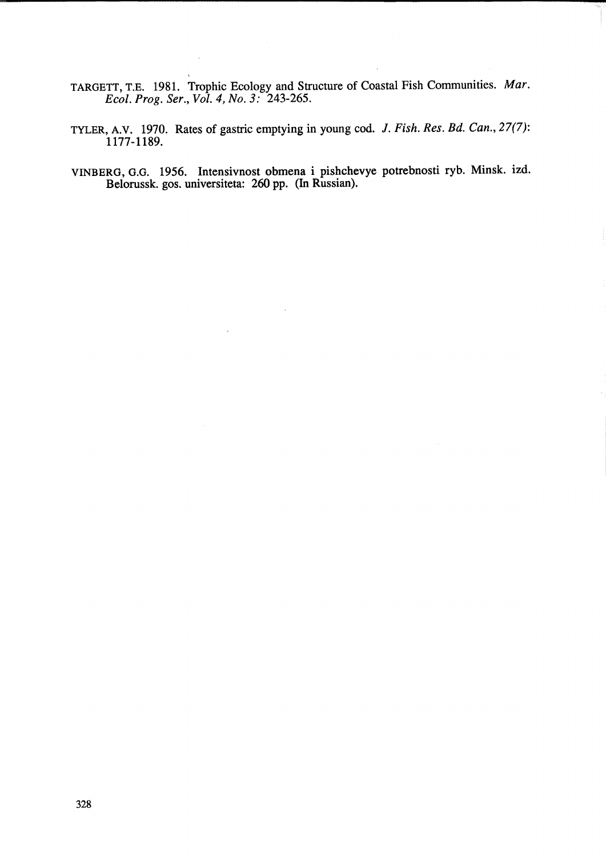TARGETT, T.E. 1981. Trophic Ecology and Structure of Coastal Fish Communities. *Mar. Ecol. Prog. Ser., Vol.* 4, *No.* 3: 243-265.

 $\sim$ 

- TYLER, A.V. 1970. Rates of gastric emptying in young cod. J. *Fish. Res. Bd. Can.,* 27(7): 1177-1189.
- VINBERO, 0.0. 1956. Intensivnost obmena i pishchevye potrebnosti ryb. Minsk. izd. Belorussk. gos. universiteta: 260 pp. (In Russian).

 $\bar{z}$ 

 $\ddot{\phantom{a}}$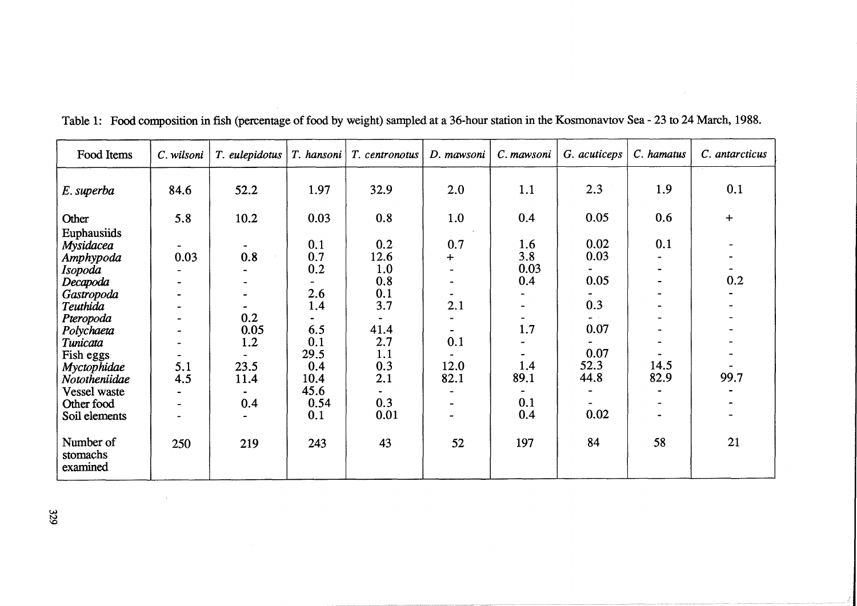| Food Items                                                                 | C. wilsoni                                | T. eulepidotus     | $T.$ hansoni             | T. centronotus                   | D. mawsoni   | C. mawsoni                | G. acuticeps         | C. hamatus   | C. antarcticus |
|----------------------------------------------------------------------------|-------------------------------------------|--------------------|--------------------------|----------------------------------|--------------|---------------------------|----------------------|--------------|----------------|
| E. superba                                                                 | 84.6                                      | 52.2               | 1.97                     | 32.9                             | 2.0          | 1.1                       | 2.3                  | 1.9          | 0.1            |
| Other                                                                      | 5.8                                       | 10.2               | 0.03                     | 0.8                              | 1.0          | 0.4                       | 0.05                 | 0.6          | $\div$         |
| Euphausiids<br>Mysidacea<br>Amphypoda<br>Isopoda<br>Decapoda<br>Gastropoda | 0.03                                      | 0.8                | 0.1<br>0.7<br>0.2<br>2.6 | 0.2<br>12.6<br>1.0<br>0.8<br>0.1 | 0.7<br>$+$   | 1.6<br>3.8<br>0.03<br>0.4 | 0.02<br>0.03<br>0.05 | 0.1          | 0.2            |
| Teuthida                                                                   |                                           |                    | 1.4                      | 3.7                              | 2.1          |                           | 0.3                  |              |                |
| Pteropoda<br>Polychaeta<br>Tunicata<br>Fish eggs                           | $\overline{\phantom{a}}$                  | 0.2<br>0.05<br>1.2 | 6.5<br>0.1<br>29.5       | 41.4<br>2.7<br>1.1               | 0.1          | 1.7                       | 0.07<br>0.07         |              |                |
| Myctophidae<br>Nototheniidae                                               | 5.1<br>4.5                                | 23.5<br>11.4       | 0.4<br>10.4              | 0.3<br>2.1                       | 12.0<br>82.1 | 1.4<br>89.1               | 52.3<br>44.8         | 14.5<br>82.9 | 99.7           |
| <b>Vessel</b> waste<br>Other food<br>Soil elements                         | $\overline{\phantom{a}}$<br>$\rightarrow$ | 0.4                | 45.6<br>0.54<br>0.1      | 0.3<br>0.01                      |              | 0.1<br>0.4                | 0.02                 |              |                |
| Number of<br>stomachs<br>examined                                          | 250                                       | 219                | 243                      | 43                               | 52           | 197                       | 84                   | 58           | 21             |

Table 1: Food composition in fish (percentage of food by weight) sampled at a 36-hour station in the Kosmonavtov Sea - 23 to 24 March, 1988.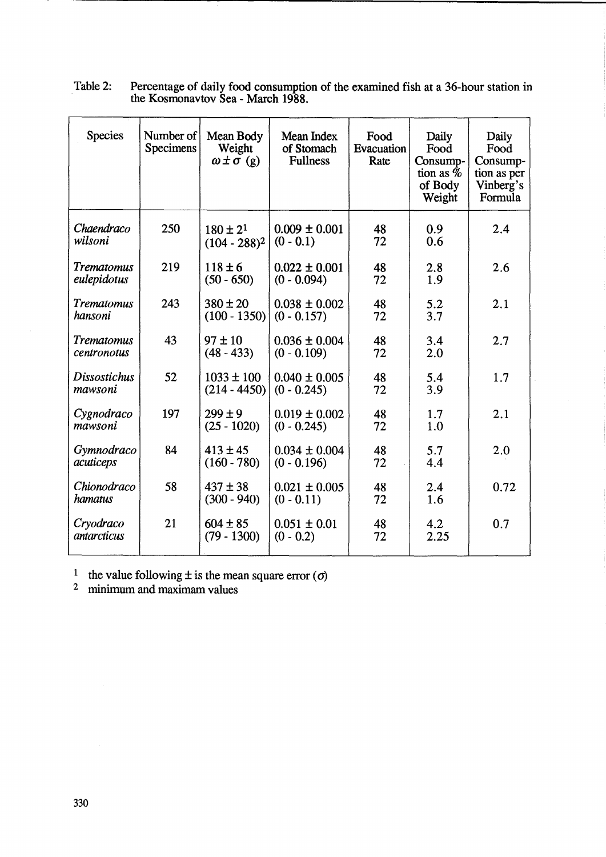| <b>Species</b>                  | Number of<br>Specimens | Mean Body<br>Weight<br>$\omega \pm \sigma$ (g) | Mean Index<br>of Stomach<br><b>Fullness</b> | Food<br>Evacuation<br>Rate | Daily<br>Food<br>Consump-<br>tion as $\%$<br>of Body<br>Weight | Daily<br>Food<br>Consump-<br>tion as per<br>Vinberg's<br>Formula |
|---------------------------------|------------------------|------------------------------------------------|---------------------------------------------|----------------------------|----------------------------------------------------------------|------------------------------------------------------------------|
| Chaendraco<br>wilsoni           | 250                    | $180 \pm 2^{1}$<br>$(104 - 288)^2$             | $0.009 \pm 0.001$<br>$(0 - 0.1)$            | 48<br>72                   | 0.9<br>0.6                                                     | 2.4                                                              |
| Trematomus<br>eulepidotus       | 219                    | $118 \pm 6$<br>$(50 - 650)$                    | $0.022 \pm 0.001$<br>$(0 - 0.094)$          | 48<br>72                   | 2.8<br>1.9                                                     | 2.6                                                              |
| Trematomus<br>hansoni           | 243                    | $380 \pm 20$<br>$(100 - 1350)$                 | $0.038 \pm 0.002$<br>$(0 - 0.157)$          | 48<br>72                   | 5.2<br>3.7                                                     | 2.1                                                              |
| Trematomus<br>centronotus       | 43                     | $97 \pm 10$<br>$(48 - 433)$                    | $0.036 \pm 0.004$<br>$(0 - 0.109)$          | 48<br>72                   | 3.4<br>2.0                                                     | 2.7                                                              |
| <b>Dissostichus</b><br>mawsoni  | 52                     | $1033 \pm 100$<br>$(214 - 4450)$               | $0.040 \pm 0.005$<br>$(0 - 0.245)$          | 48<br>72                   | 5.4<br>3.9                                                     | 1.7                                                              |
| Cygnodraco<br>mawsoni           | 197                    | $299 \pm 9$<br>$(25 - 1020)$                   | $0.019 \pm 0.002$<br>$(0 - 0.245)$          | 48<br>72                   | 1.7<br>1.0                                                     | 2.1                                                              |
| Gymnodraco<br>acuticeps         | 84                     | $413 \pm 45$<br>$(160 - 780)$                  | $0.034 \pm 0.004$<br>$(0 - 0.196)$          | 48<br>72                   | 5.7<br>4.4                                                     | 2.0                                                              |
| Chionodraco<br>hamatus          | 58                     | $437 \pm 38$<br>$(300 - 940)$                  | $0.021 \pm 0.005$<br>$(0 - 0.11)$           | 48<br>72                   | 2.4<br>1.6                                                     | 0.72                                                             |
| Cryodraco<br><i>antarcticus</i> | 21                     | $604 \pm 85$<br>$(79 - 1300)$                  | $0.051 \pm 0.01$<br>$(0 - 0.2)$             | 48<br>72                   | 4.2<br>2.25                                                    | 0.7                                                              |

Table 2: Percentage of daily food consumption of the examined fish at a 36-hour station in the Kosmonavtov Sea - March 1988.

<sup>1</sup> the value following  $\pm$  is the mean square error ( $\sigma$ )

<sup>2</sup> minimum and maximam values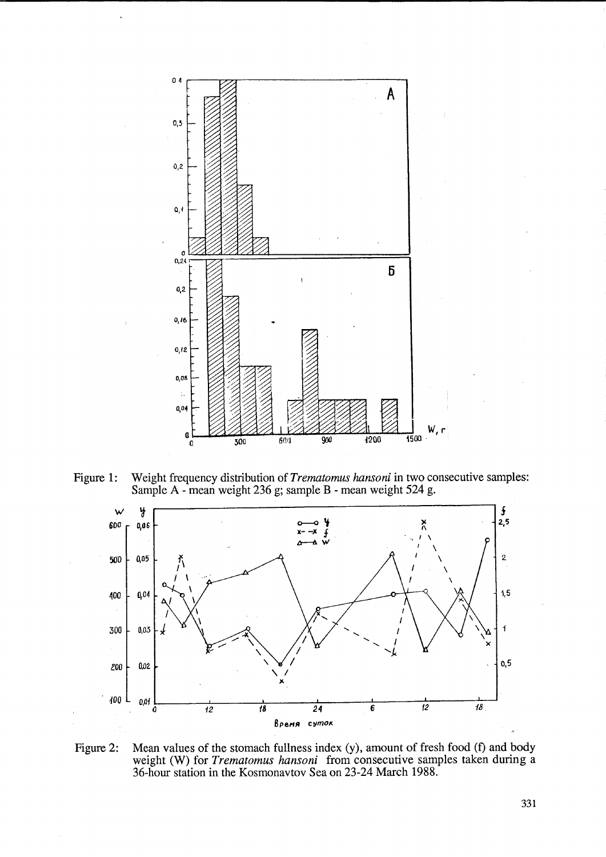

Figure 1: Weight frequency distribution of *Trematomus hansoni* in two consecutive samples: Sample A - mean weight 236 g; sample B - mean weight 524 g.



Figure 2: Mean values of the stomach fullness index (y), amount of fresh food (f) and body weight (W) for *Trematomus hansoni* from consecutive samples taken during a 36-hour station in the Kosmonavtov Sea on 23-24 March 1988.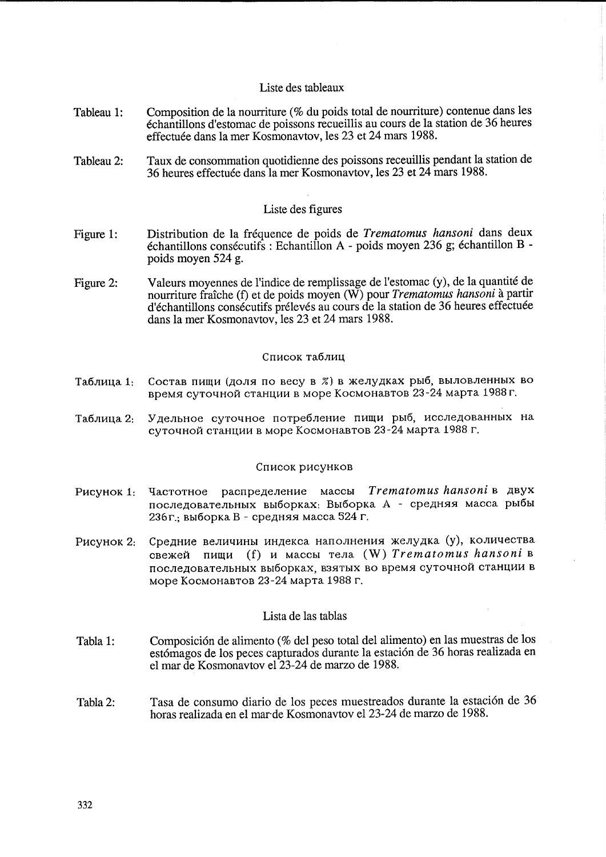## Liste des tableaux

- Tableau 1: Composition de la nourriture (% du poids total de nourriture) contenue dans les echantillons d'estomac de poissons recueillis au cours de la station de 36 heures effectuée dans la mer Kosmonavtov, les 23 et 24 mars 1988.
- Tableau 2: Taux de consommation quotidienne des poissons receuillis pendant la station de 36 heures effectuee dans la mer Kosmonavtov, les 23 et 24 mars 1988.

## Liste des figures

- Figure 1: Distribution de la frequence de poids de *Trematomus hansoni* dans deux  $\acute{\text{e}}$ chantillons consécutifs : Echantillon A - poids moyen 236 g; échantillon B poids moyen 524 g.
- Figure 2: Valeurs moyennes de l'indice de remplissage de l'estomac (y), de la quantite de nourriture fraiche (f) et de poids moyen (W) pour *Trematomus hansoni* a partir d'échantillons consécutifs prélevés au cours de la station de 36 heures effectuée dans la mer Kosmonavtov, les 23 et 24 mars 1988.

### Список таблиц

- Таблица 1: Состав пищи (доля по весу в %) в желудках рыб, выловленных во время суточной станции в море Космонавтов 23-24 марта 1988 г.
- Таблица 2: Удельное суточное потребление пищи рыб, исследованных на суточной станции в море Космонавтов 23-24 марта 1988 г.

### Список рисунков

- PHCYHOK 1: Частотное распределение массы *Trematomus hansoni* в двух последовательных выборках: Выборка А - средняя масса рыбы 236г.; выборка В - средняя масса 524 г.
- Рисунок 2: Средние величины индекса наполнения желудка (у), количества CBe)l{et'I nH~H (f) H MaCCbI TeJIa (W) *Trematomus hansoni* <sup>B</sup> последовательных выборках, взятых во время суточной станции в Mope KocMoHaBToB 23-24 MapTa 1988 r.

## Lista de las tablas

- Tabla 1: Composición de alimento (% del peso total del alimento) en las muestras de los estómagos de los peces capturados durante la estación de 36 horas realizada en el mar de Kosmonavtov e123-24 de marzo de 1988.
- Tabla2: Tasa de consumo diario de los peces muestreados durante la estación de 36 horas realizada en el mar'de Kosmonavtov e123-24 de marzo de 1988.